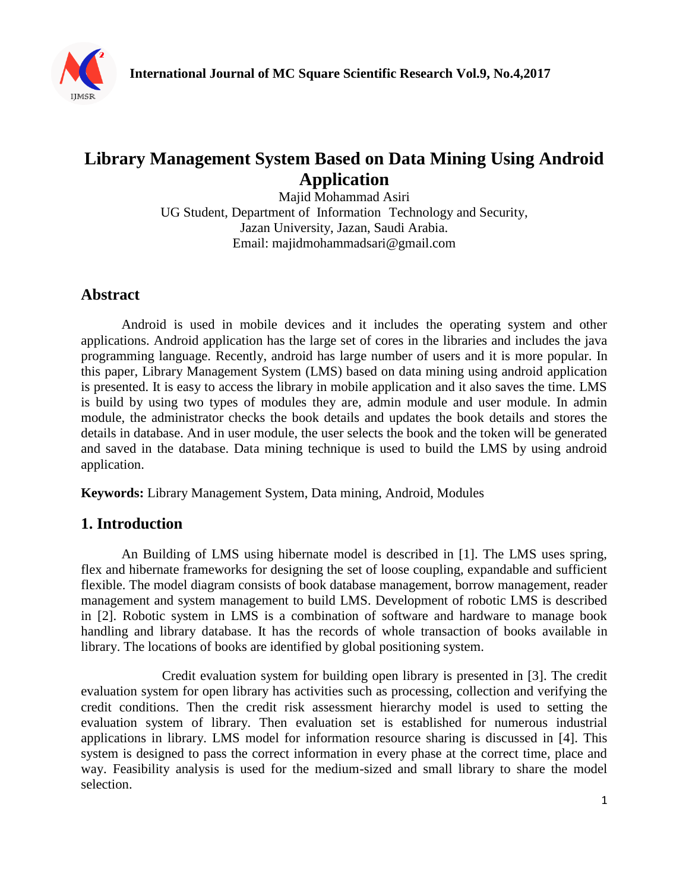

# **Library Management System Based on Data Mining Using Android Application**

Majid Mohammad Asiri UG Student, Department of Information Technology and Security, Jazan University, Jazan, Saudi Arabia. Email: majidmohammadsari@gmail.com

# **Abstract**

Android is used in mobile devices and it includes the operating system and other applications. Android application has the large set of cores in the libraries and includes the java programming language. Recently, android has large number of users and it is more popular. In this paper, Library Management System (LMS) based on data mining using android application is presented. It is easy to access the library in mobile application and it also saves the time. LMS is build by using two types of modules they are, admin module and user module. In admin module, the administrator checks the book details and updates the book details and stores the details in database. And in user module, the user selects the book and the token will be generated and saved in the database. Data mining technique is used to build the LMS by using android application.

**Keywords:** Library Management System, Data mining, Android, Modules

### **1. Introduction**

An Building of LMS using hibernate model is described in [1]. The LMS uses spring, flex and hibernate frameworks for designing the set of loose coupling, expandable and sufficient flexible. The model diagram consists of book database management, borrow management, reader management and system management to build LMS. Development of robotic LMS is described in [2]. Robotic system in LMS is a combination of software and hardware to manage book handling and library database. It has the records of whole transaction of books available in library. The locations of books are identified by global positioning system.

Credit evaluation system for building open library is presented in [3]. The credit evaluation system for open library has activities such as processing, collection and verifying the credit conditions. Then the credit risk assessment hierarchy model is used to setting the evaluation system of library. Then evaluation set is established for numerous industrial applications in library. LMS model for information resource sharing is discussed in [4]. This system is designed to pass the correct information in every phase at the correct time, place and way. Feasibility analysis is used for the medium-sized and small library to share the model selection.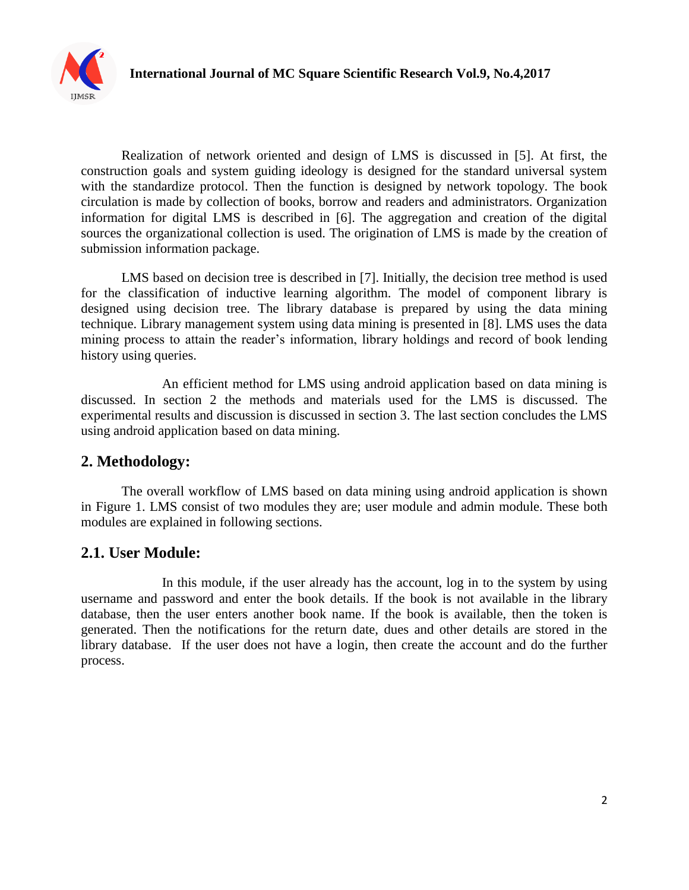

Realization of network oriented and design of LMS is discussed in [5]. At first, the construction goals and system guiding ideology is designed for the standard universal system with the standardize protocol. Then the function is designed by network topology. The book circulation is made by collection of books, borrow and readers and administrators. Organization information for digital LMS is described in [6]. The aggregation and creation of the digital sources the organizational collection is used. The origination of LMS is made by the creation of submission information package.

LMS based on decision tree is described in [7]. Initially, the decision tree method is used for the classification of inductive learning algorithm. The model of component library is designed using decision tree. The library database is prepared by using the data mining technique. Library management system using data mining is presented in [8]. LMS uses the data mining process to attain the reader's information, library holdings and record of book lending history using queries.

An efficient method for LMS using android application based on data mining is discussed. In section 2 the methods and materials used for the LMS is discussed. The experimental results and discussion is discussed in section 3. The last section concludes the LMS using android application based on data mining.

### **2. Methodology:**

The overall workflow of LMS based on data mining using android application is shown in Figure 1. LMS consist of two modules they are; user module and admin module. These both modules are explained in following sections.

# **2.1. User Module:**

In this module, if the user already has the account, log in to the system by using username and password and enter the book details. If the book is not available in the library database, then the user enters another book name. If the book is available, then the token is generated. Then the notifications for the return date, dues and other details are stored in the library database. If the user does not have a login, then create the account and do the further process.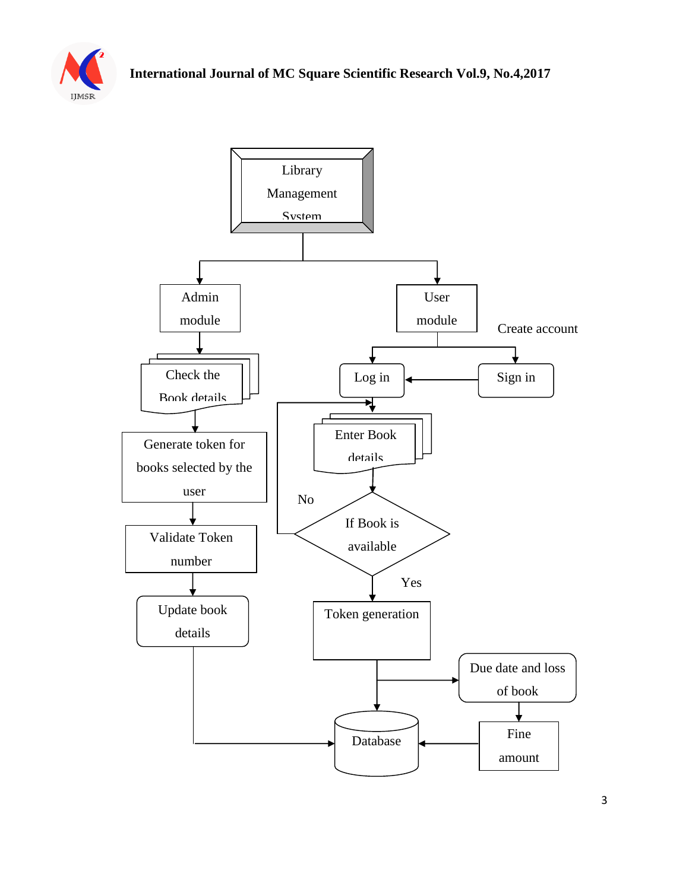

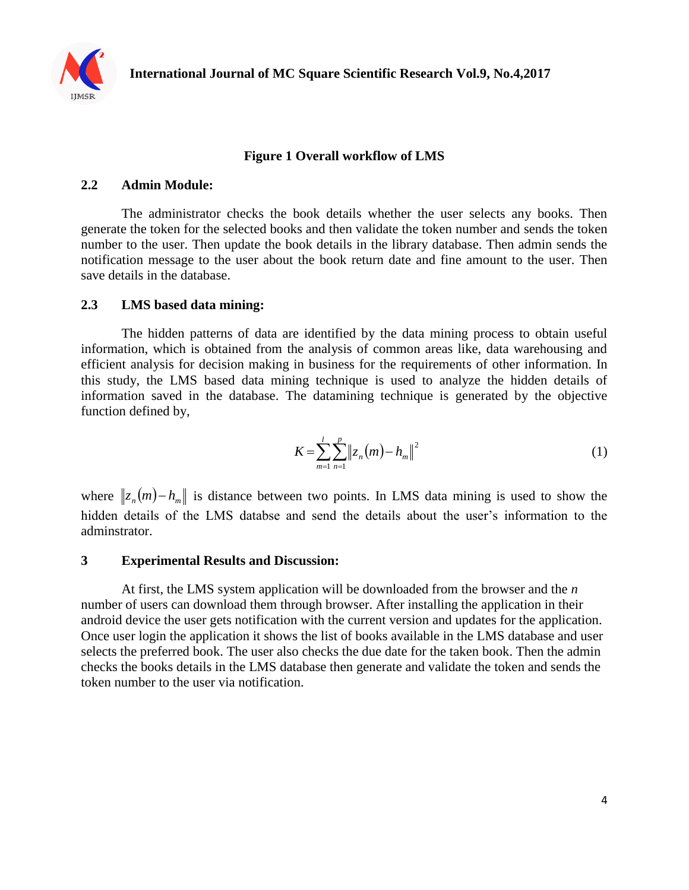

#### **Figure 1 Overall workflow of LMS**

#### **2.2 Admin Module:**

The administrator checks the book details whether the user selects any books. Then generate the token for the selected books and then validate the token number and sends the token number to the user. Then update the book details in the library database. Then admin sends the notification message to the user about the book return date and fine amount to the user. Then save details in the database.

#### **2.3 LMS based data mining:**

The hidden patterns of data are identified by the data mining process to obtain useful information, which is obtained from the analysis of common areas like, data warehousing and efficient analysis for decision making in business for the requirements of other information. In this study, the LMS based data mining technique is used to analyze the hidden details of information saved in the database. The datamining technique is generated by the objective function defined by,

$$
K = \sum_{m=1}^{l} \sum_{n=1}^{p} ||z_n(m) - h_m||^2
$$
 (1)

where  $||z_n(m) - h_m||$  is distance between two points. In LMS data mining is used to show the hidden details of the LMS databse and send the details about the user's information to the adminstrator.

#### **3 Experimental Results and Discussion:**

At first, the LMS system application will be downloaded from the browser and the *n* number of users can download them through browser. After installing the application in their android device the user gets notification with the current version and updates for the application. Once user login the application it shows the list of books available in the LMS database and user selects the preferred book. The user also checks the due date for the taken book. Then the admin checks the books details in the LMS database then generate and validate the token and sends the token number to the user via notification.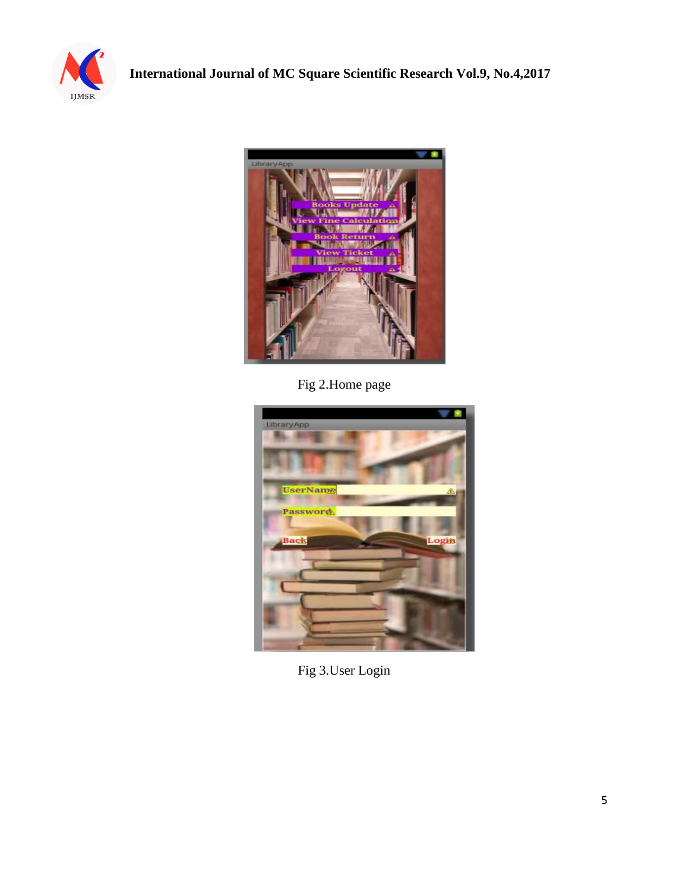



Fig 2.Home page



Fig 3.User Login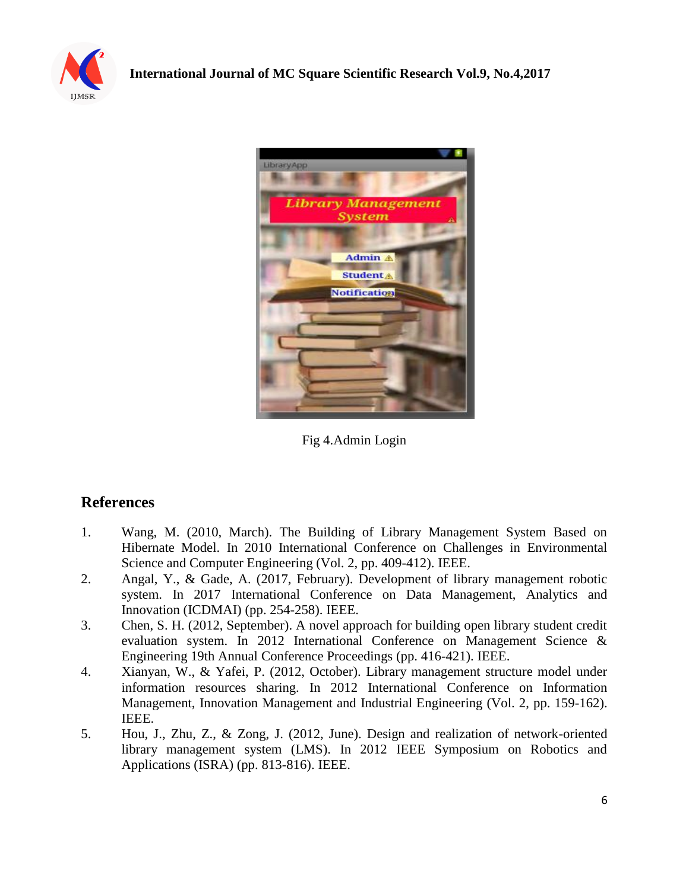



Fig 4.Admin Login

# **References**

- 1. Wang, M. (2010, March). The Building of Library Management System Based on Hibernate Model. In 2010 International Conference on Challenges in Environmental Science and Computer Engineering (Vol. 2, pp. 409-412). IEEE.
- 2. Angal, Y., & Gade, A. (2017, February). Development of library management robotic system. In 2017 International Conference on Data Management, Analytics and Innovation (ICDMAI) (pp. 254-258). IEEE.
- 3. Chen, S. H. (2012, September). A novel approach for building open library student credit evaluation system. In 2012 International Conference on Management Science & Engineering 19th Annual Conference Proceedings (pp. 416-421). IEEE.
- 4. Xianyan, W., & Yafei, P. (2012, October). Library management structure model under information resources sharing. In 2012 International Conference on Information Management, Innovation Management and Industrial Engineering (Vol. 2, pp. 159-162). IEEE.
- 5. Hou, J., Zhu, Z., & Zong, J. (2012, June). Design and realization of network-oriented library management system (LMS). In 2012 IEEE Symposium on Robotics and Applications (ISRA) (pp. 813-816). IEEE.